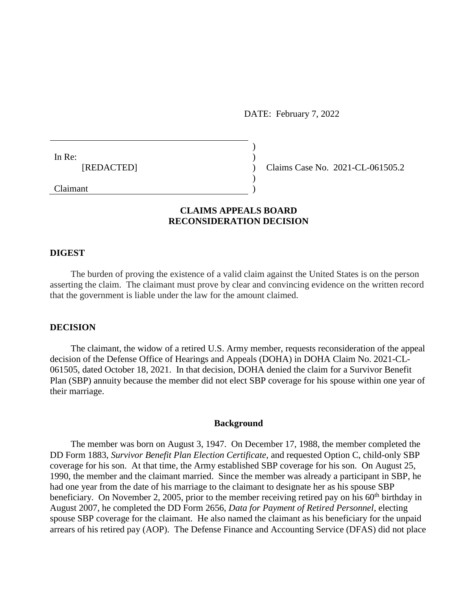DATE: February 7, 2022

In Re: (a) and  $\overline{a}$  and  $\overline{b}$  and  $\overline{a}$  and  $\overline{b}$  and  $\overline{a}$  and  $\overline{a}$  and  $\overline{a}$  and  $\overline{a}$  and  $\overline{a}$  and  $\overline{a}$  and  $\overline{a}$  and  $\overline{a}$  and  $\overline{a}$  and  $\overline{a}$  and  $\overline{a}$  and  $\overline{a}$  and [REDACTED] ) Claims Case No. 2021-CL-061505.2

Claimant )

# **CLAIMS APPEALS BOARD RECONSIDERATION DECISION**

 $)$ 

)

#### **DIGEST**

The burden of proving the existence of a valid claim against the United States is on the person asserting the claim. The claimant must prove by clear and convincing evidence on the written record that the government is liable under the law for the amount claimed.

### **DECISION**

The claimant, the widow of a retired U.S. Army member, requests reconsideration of the appeal decision of the Defense Office of Hearings and Appeals (DOHA) in DOHA Claim No. 2021-CL-061505, dated October 18, 2021. In that decision, DOHA denied the claim for a Survivor Benefit Plan (SBP) annuity because the member did not elect SBP coverage for his spouse within one year of their marriage.

### **Background**

The member was born on August 3, 1947. On December 17, 1988, the member completed the DD Form 1883, *Survivor Benefit Plan Election Certificate*, and requested Option C, child-only SBP coverage for his son. At that time, the Army established SBP coverage for his son. On August 25, 1990, the member and the claimant married. Since the member was already a participant in SBP, he had one year from the date of his marriage to the claimant to designate her as his spouse SBP beneficiary. On November 2, 2005, prior to the member receiving retired pay on his  $60<sup>th</sup>$  birthday in August 2007, he completed the DD Form 2656, *Data for Payment of Retired Personnel*, electing spouse SBP coverage for the claimant. He also named the claimant as his beneficiary for the unpaid arrears of his retired pay (AOP). The Defense Finance and Accounting Service (DFAS) did not place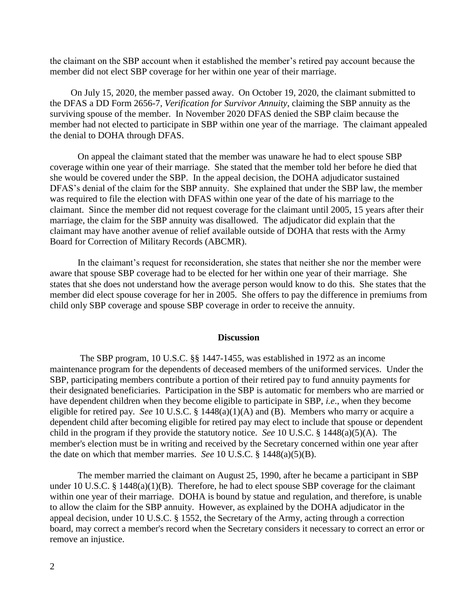the claimant on the SBP account when it established the member's retired pay account because the member did not elect SBP coverage for her within one year of their marriage.

On July 15, 2020, the member passed away. On October 19, 2020, the claimant submitted to the DFAS a DD Form 2656-7, *Verification for Survivor Annuity*, claiming the SBP annuity as the surviving spouse of the member. In November 2020 DFAS denied the SBP claim because the member had not elected to participate in SBP within one year of the marriage. The claimant appealed the denial to DOHA through DFAS.

On appeal the claimant stated that the member was unaware he had to elect spouse SBP coverage within one year of their marriage. She stated that the member told her before he died that she would be covered under the SBP. In the appeal decision, the DOHA adjudicator sustained DFAS's denial of the claim for the SBP annuity. She explained that under the SBP law, the member was required to file the election with DFAS within one year of the date of his marriage to the claimant. Since the member did not request coverage for the claimant until 2005, 15 years after their marriage, the claim for the SBP annuity was disallowed. The adjudicator did explain that the claimant may have another avenue of relief available outside of DOHA that rests with the Army Board for Correction of Military Records (ABCMR).

In the claimant's request for reconsideration, she states that neither she nor the member were aware that spouse SBP coverage had to be elected for her within one year of their marriage. She states that she does not understand how the average person would know to do this. She states that the member did elect spouse coverage for her in 2005. She offers to pay the difference in premiums from child only SBP coverage and spouse SBP coverage in order to receive the annuity.

### **Discussion**

 The SBP program, 10 U.S.C. §§ 1447-1455, was established in 1972 as an income maintenance program for the dependents of deceased members of the uniformed services. Under the SBP, participating members contribute a portion of their retired pay to fund annuity payments for their designated beneficiaries. Participation in the SBP is automatic for members who are married or have dependent children when they become eligible to participate in SBP, *i.e*., when they become eligible for retired pay. *See* 10 U.S.C. § 1448(a)(1)(A) and (B). Members who marry or acquire a dependent child after becoming eligible for retired pay may elect to include that spouse or dependent child in the program if they provide the statutory notice. *See* 10 U.S.C. § 1448(a)(5)(A). The member's election must be in writing and received by the Secretary concerned within one year after the date on which that member marries. *See* 10 U.S.C. § 1448(a)(5)(B).

 The member married the claimant on August 25, 1990, after he became a participant in SBP under 10 U.S.C. § 1448(a)(1)(B). Therefore, he had to elect spouse SBP coverage for the claimant within one year of their marriage. DOHA is bound by statue and regulation, and therefore, is unable to allow the claim for the SBP annuity. However, as explained by the DOHA adjudicator in the appeal decision, under 10 U.S.C. § 1552, the Secretary of the Army, acting through a correction board, may correct a member's record when the Secretary considers it necessary to correct an error or remove an injustice.